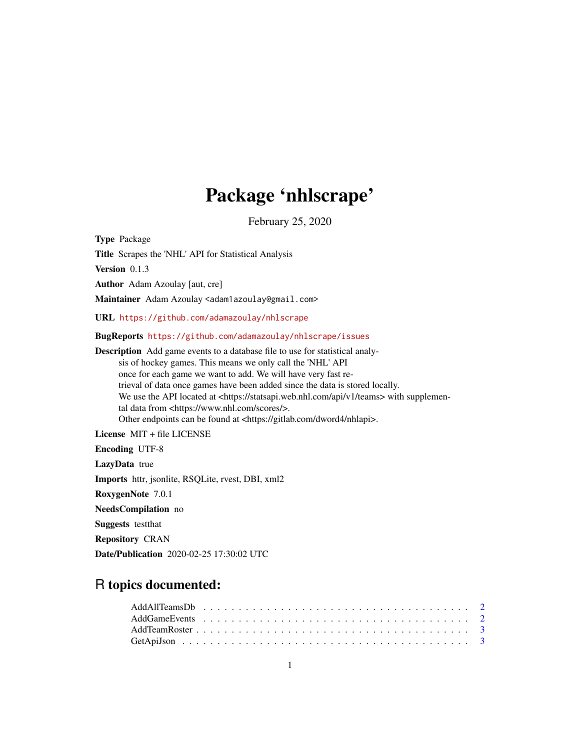# Package 'nhlscrape'

February 25, 2020

Type Package

Title Scrapes the 'NHL' API for Statistical Analysis

Version 0.1.3

Author Adam Azoulay [aut, cre]

Maintainer Adam Azoulay <adam1azoulay@gmail.com>

URL <https://github.com/adamazoulay/nhlscrape>

BugReports <https://github.com/adamazoulay/nhlscrape/issues>

Description Add game events to a database file to use for statistical analysis of hockey games. This means we only call the 'NHL' API once for each game we want to add. We will have very fast retrieval of data once games have been added since the data is stored locally. We use the API located at <https://statsapi.web.nhl.com/api/v1/teams> with supplemental data from <https://www.nhl.com/scores/>. Other endpoints can be found at <https://gitlab.com/dword4/nhlapi>. License MIT + file LICENSE Encoding UTF-8 LazyData true Imports httr, jsonlite, RSQLite, rvest, DBI, xml2 RoxygenNote 7.0.1 NeedsCompilation no Suggests testthat Repository CRAN

Date/Publication 2020-02-25 17:30:02 UTC

# R topics documented: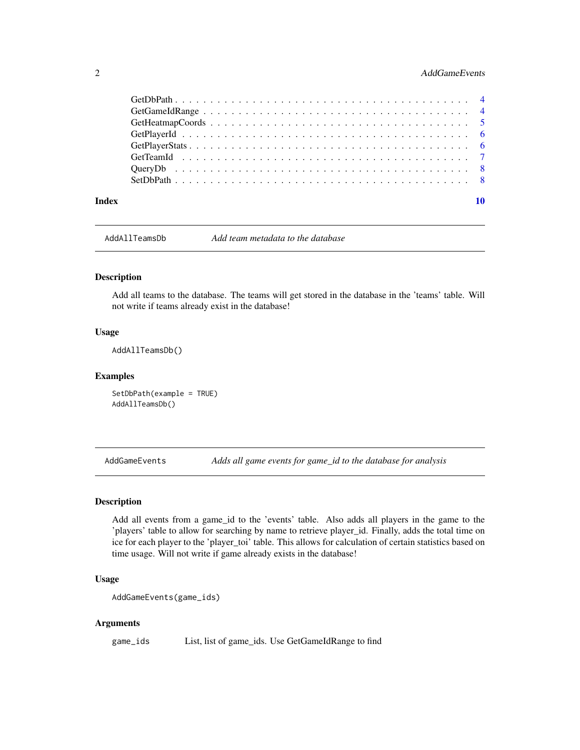# <span id="page-1-0"></span>2 **AddGameEvents**

| Index |  |
|-------|--|

AddAllTeamsDb *Add team metadata to the database*

# Description

Add all teams to the database. The teams will get stored in the database in the 'teams' table. Will not write if teams already exist in the database!

#### Usage

AddAllTeamsDb()

#### Examples

SetDbPath(example = TRUE) AddAllTeamsDb()

AddGameEvents *Adds all game events for game\_id to the database for analysis*

#### Description

Add all events from a game\_id to the 'events' table. Also adds all players in the game to the 'players' table to allow for searching by name to retrieve player\_id. Finally, adds the total time on ice for each player to the 'player\_toi' table. This allows for calculation of certain statistics based on time usage. Will not write if game already exists in the database!

## Usage

```
AddGameEvents(game_ids)
```
#### Arguments

game\_ids List, list of game\_ids. Use GetGameIdRange to find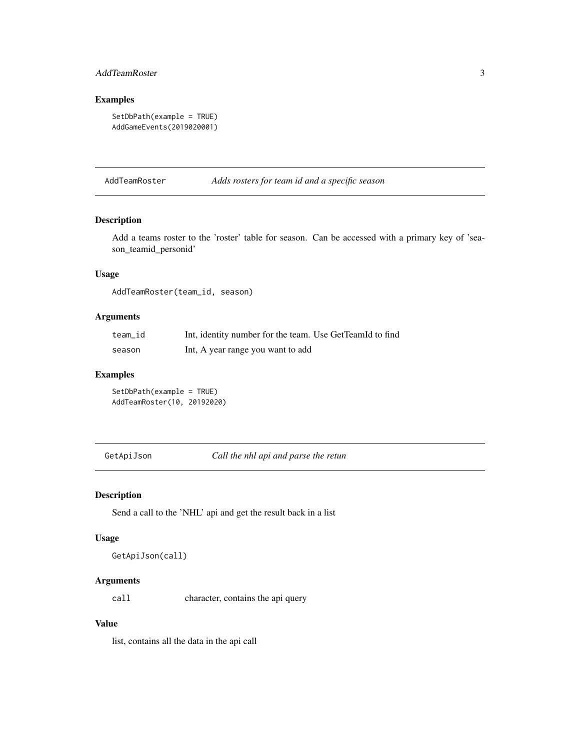# <span id="page-2-0"></span>AddTeamRoster 3

# Examples

```
SetDbPath(example = TRUE)
AddGameEvents(2019020001)
```
AddTeamRoster *Adds rosters for team id and a specific season*

#### Description

Add a teams roster to the 'roster' table for season. Can be accessed with a primary key of 'season\_teamid\_personid'

#### Usage

AddTeamRoster(team\_id, season)

# Arguments

| team id | Int, identity number for the team. Use GetTeamId to find |
|---------|----------------------------------------------------------|
| season  | Int, A year range you want to add                        |

#### Examples

SetDbPath(example = TRUE) AddTeamRoster(10, 20192020)

GetApiJson *Call the nhl api and parse the retun*

#### Description

Send a call to the 'NHL' api and get the result back in a list

#### Usage

GetApiJson(call)

# Arguments

call character, contains the api query

# Value

list, contains all the data in the api call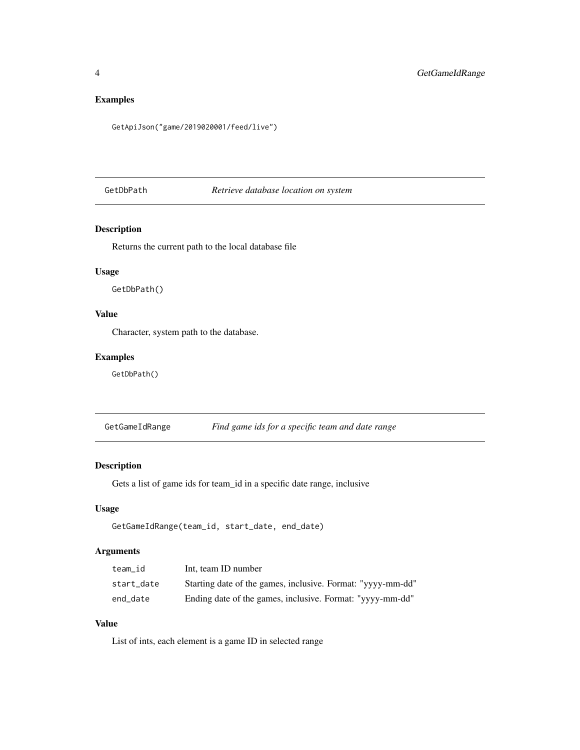# <span id="page-3-0"></span>Examples

GetApiJson("game/2019020001/feed/live")

GetDbPath *Retrieve database location on system*

# Description

Returns the current path to the local database file

# Usage

GetDbPath()

# Value

Character, system path to the database.

# Examples

GetDbPath()

GetGameIdRange *Find game ids for a specific team and date range*

#### Description

Gets a list of game ids for team\_id in a specific date range, inclusive

### Usage

```
GetGameIdRange(team_id, start_date, end_date)
```
# Arguments

| team id    | Int, team ID number                                         |
|------------|-------------------------------------------------------------|
| start date | Starting date of the games, inclusive. Format: "yyyy-mm-dd" |
| end date   | Ending date of the games, inclusive. Format: "yyyy-mm-dd"   |

# Value

List of ints, each element is a game ID in selected range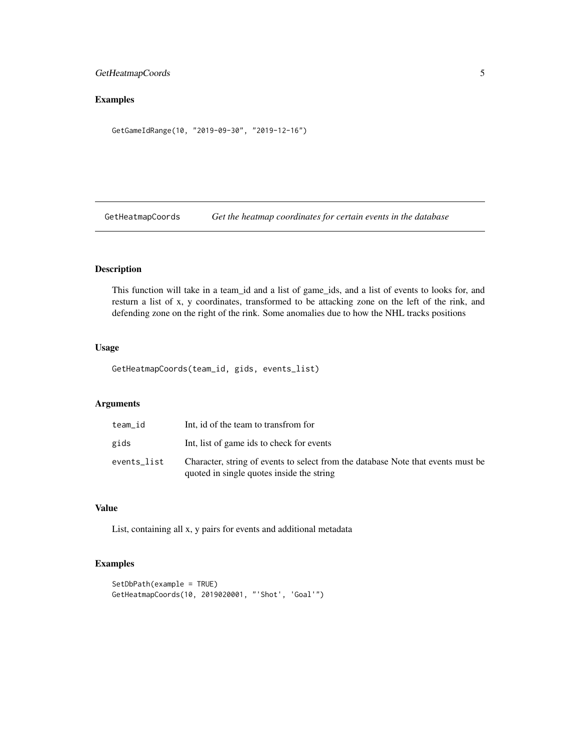# <span id="page-4-0"></span>GetHeatmapCoords 5

# Examples

GetGameIdRange(10, "2019-09-30", "2019-12-16")

GetHeatmapCoords *Get the heatmap coordinates for certain events in the database*

# Description

This function will take in a team\_id and a list of game\_ids, and a list of events to looks for, and resturn a list of x, y coordinates, transformed to be attacking zone on the left of the rink, and defending zone on the right of the rink. Some anomalies due to how the NHL tracks positions

#### Usage

GetHeatmapCoords(team\_id, gids, events\_list)

# Arguments

| team id     | Int, id of the team to transfrom for                                                                                          |
|-------------|-------------------------------------------------------------------------------------------------------------------------------|
| gids        | Int, list of game ids to check for events                                                                                     |
| events list | Character, string of events to select from the database Note that events must be<br>quoted in single quotes inside the string |

### Value

List, containing all x, y pairs for events and additional metadata

# Examples

```
SetDbPath(example = TRUE)
GetHeatmapCoords(10, 2019020001, "'Shot', 'Goal'")
```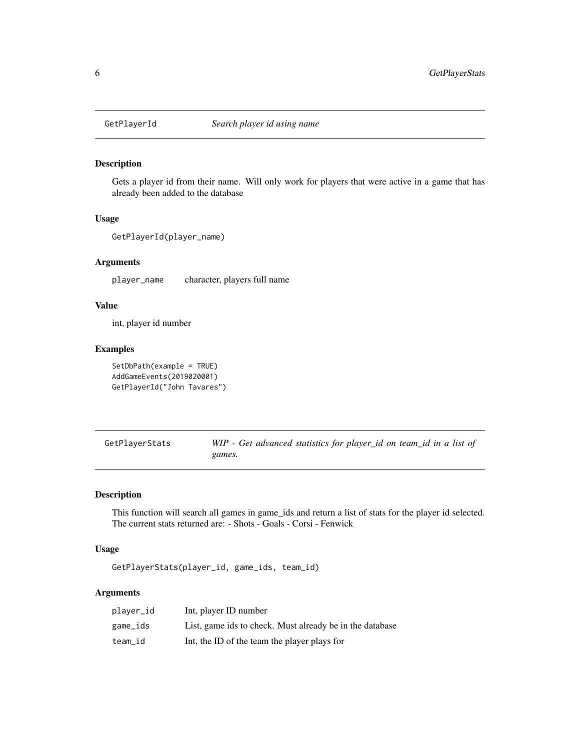<span id="page-5-0"></span>

# Description

Gets a player id from their name. Will only work for players that were active in a game that has already been added to the database

# Usage

```
GetPlayerId(player_name)
```
#### Arguments

player\_name character, players full name

#### Value

int, player id number

# Examples

```
SetDbPath(example = TRUE)
AddGameEvents(2019020001)
GetPlayerId("John Tavares")
```

| GetPlayerStats | WIP - Get advanced statistics for player_id on team_id in a list of |
|----------------|---------------------------------------------------------------------|
|                | games.                                                              |

# Description

This function will search all games in game\_ids and return a list of stats for the player id selected. The current stats returned are: - Shots - Goals - Corsi - Fenwick

#### Usage

GetPlayerStats(player\_id, game\_ids, team\_id)

# Arguments

| player_id | Int, player ID number                                    |
|-----------|----------------------------------------------------------|
| game_ids  | List, game ids to check. Must already be in the database |
| team_id   | Int, the ID of the team the player plays for             |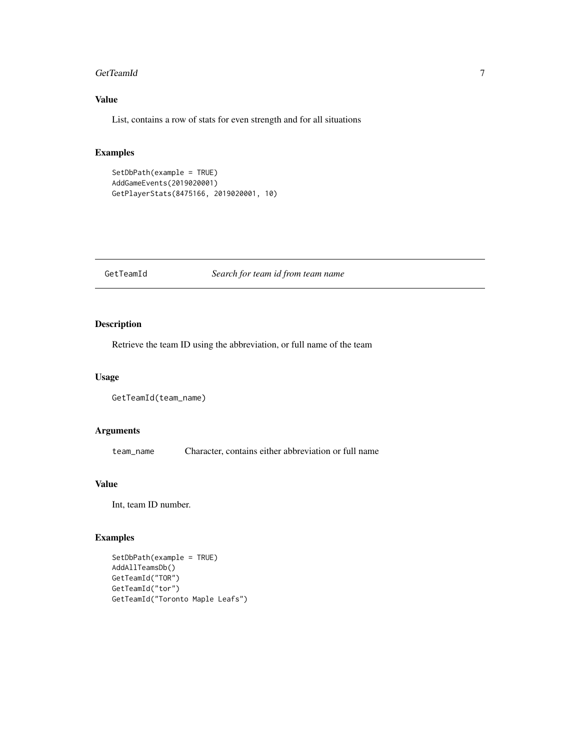#### <span id="page-6-0"></span>GetTeamId 7

# Value

List, contains a row of stats for even strength and for all situations

# Examples

```
SetDbPath(example = TRUE)
AddGameEvents(2019020001)
GetPlayerStats(8475166, 2019020001, 10)
```
#### GetTeamId *Search for team id from team name*

# Description

Retrieve the team ID using the abbreviation, or full name of the team

#### Usage

```
GetTeamId(team_name)
```
# Arguments

team\_name Character, contains either abbreviation or full name

# Value

Int, team ID number.

# Examples

```
SetDbPath(example = TRUE)
AddAllTeamsDb()
GetTeamId("TOR")
GetTeamId("tor")
GetTeamId("Toronto Maple Leafs")
```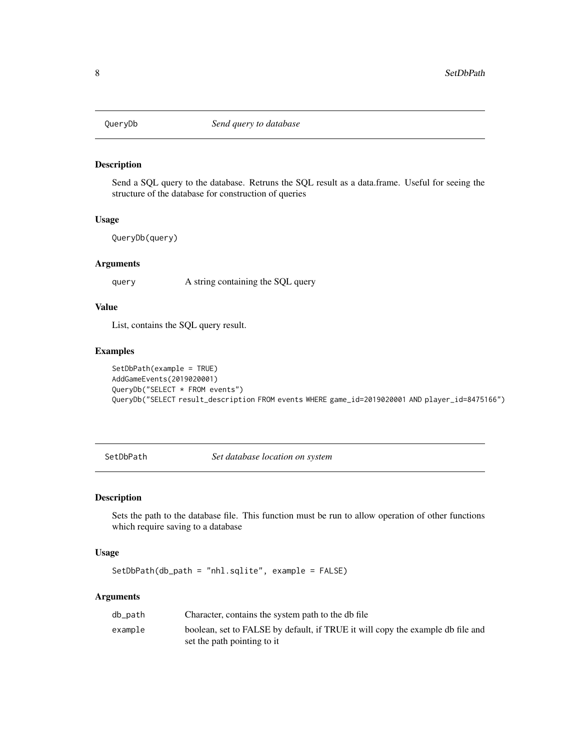<span id="page-7-0"></span>

#### Description

Send a SQL query to the database. Retruns the SQL result as a data.frame. Useful for seeing the structure of the database for construction of queries

#### Usage

QueryDb(query)

#### Arguments

query A string containing the SQL query

# Value

List, contains the SQL query result.

## Examples

```
SetDbPath(example = TRUE)
AddGameEvents(2019020001)
QueryDb("SELECT * FROM events")
QueryDb("SELECT result_description FROM events WHERE game_id=2019020001 AND player_id=8475166")
```
SetDbPath *Set database location on system*

#### Description

Sets the path to the database file. This function must be run to allow operation of other functions which require saving to a database

#### Usage

SetDbPath(db\_path = "nhl.sqlite", example = FALSE)

#### Arguments

| db_path | Character, contains the system path to the db file                             |
|---------|--------------------------------------------------------------------------------|
| example | boolean, set to FALSE by default, if TRUE it will copy the example db file and |
|         | set the path pointing to it                                                    |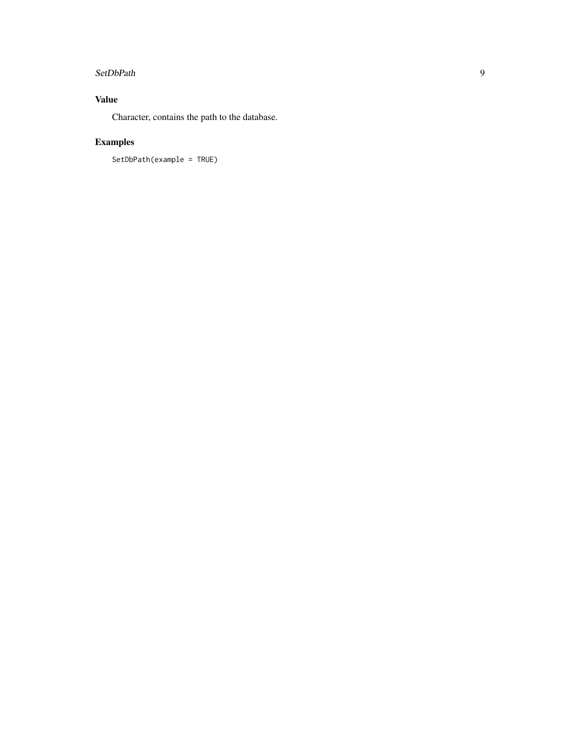#### SetDbPath 9

# Value

Character, contains the path to the database.

# Examples

SetDbPath(example = TRUE)